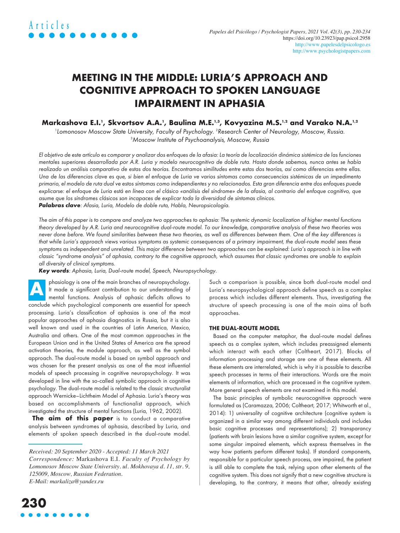# **MEETING IN THE MIDDLE: LURIA'S APPROACH AND COGNITIVE APPROACH TO SPOKEN LANGUAGE IMPAIRMENT IN APHASIA**

# Markashova E.I.', Skvortsov A.A.', Baulina M.E.'<sup>,3</sup>, Kovyazina M.S.'<sup>,2</sup> and Varako N.A.'<sup>,2</sup>

l Lomonosov Moscow State University, Faculty of Psychology. <sup>2</sup>Research Center of Neurology, Moscow, Russia. 3 Moscow Institute of Psychoanalysis, Moscow, Russia

El objetivo de este artículo es comparar y analizar dos enfoques de la afasia: La teoría de localización dinámica sistémica de las funciones mentales superiores desarrollada por A.R. Luria y modelo neurocognitivo de doble ruta. Hasta donde sabemos, nunca antes se había realizado un análisis comparativo de estas dos teorías. Encontramos similitudes entre estas dos teorías, así como diferencias entre ellas. Una de las diferencias clave es que, si bien el enfoque de Luria ve varios síntomas como consecuencias sistémicas de un impedimento primario, el modelo de ruta dual ve estos síntomas como independientes y no relacionados. Esta gran diferencia entre dos enfoques puede explicarse: el enfoque de Luria está en línea con el clásico «análisis del síndrome» de la afasia, al contrario del enfoque cognitivo, que asume que los síndromes clásicos son incapaces de explicar toda la diversidad de síntomas clínicos. **Palabras clave**: Afasia, Luria, Modelo de doble ruta, Habla, Neuropsicología.

The aim of this paper is to compare and analyze two approaches to aphasia: The systemic dynamic localization of higher mental functions theory developed by A.R. Luria and neurocognitive dual-route model. To our knowledge, comparative analysis of these two theories was never done before. We found similarities between these two theories, as well as differences between them. One of the key differences is that while Luria's approach views various symptoms as systemic consequences of a primary impairment, the dual-route model sees these symptoms as independent and unrelated. This major difference between two approaches can be explained: Luria's approach is in line with classic "syndrome analysis" of aphasia, contrary to the cognitive approach, which assumes that classic syndromes are unable to explain all diversity of clinical symptoms.

**Key words**: Aphasia, Luria, Dual-route model, Speech, Neuropsychology.

phasiology is one of the main branches of neuropsychology. It made a significant contribution to our understanding of mental functions. Analysis of aphasic deficits allows to conclude which psychological components are essential for speech processing. Luria's classification of aphasias is one of the most popular approaches of aphasia diagnostics in Russia, but it is also well known and used in the countries of Latin America, Mexico, Australia and others. One of the most common approaches in the European Union and in the United States of America are the spread activation theories, the module approach, as well as the symbol approach. The dual-route model is based on symbol approach and was chosen for the present analysis as one of the most influential models of speech processing in cognitive neuropsychology. It was developed in line with the so-called symbolic approach in cognitive psychology. The dual-route model is related to the classic structuralist approach Wernicke–Lichtheim Model of Aphasia. Luria's theory was based on accomplishments of functionalist approach, which investigated the structure of mental functions (Luria, 1962, 2002). **A**

**The aim of this paper** is to conduct a comparative analysis between syndromes of aphasia, described by Luria, and elements of spoken speech described in the dual-route model.

*Received: 20 September 2020 - Accepted: 11 March 2021 Correspondence:* Markashova E.I. *Faculty of Psychology by Lomonosov Moscow State University. ul. Mokhovaya d. 11, str. 9, 125009, Moscow, Russian Federation. E-Mail: [markaliza@yandex.ru](mailto:markaliza@yandex.ru)*

Such a comparison is possible, since both dual-route model and Luria's neuropsychological approach define speech as a complex process which includes different elements. Thus, investigating the structure of speech processing is one of the main aims of both approaches.

#### **THE DUAL-ROUTE MODEL**

Based on the computer metaphor, the dual-route model defines speech as a complex system, which includes preassigned elements which interact with each other (Coltheart, 2017). Blocks of information processing and storage are one of these elements. All these elements are interrelated, which is why it is possible to describe speech processes in terms of their interactions. Words are the main elements of information, which are processed in the cognitive system. More general speech elements are not examined in this model.

The basic principles of symbolic neurocognitive approach were formulated as (Caramazza, 2006; Coltheart, 2017; Whitworth et al., 2014): 1) universality of cognitive architecture (cognitive system is organized in a similar way among different individuals and includes basic cognitive processes and representations); 2) transparancy (patients with brain lesions have a similar cognitive system, except for some singular impaired elements, which express themselves in the way how patients perform different tasks). If standard components, responsible for a particular speech process, are impaired, the patient is still able to complete the task, relying upon other elements of the cognitive system. This does not signify that a new cognitive structure is developing, to the contrary, it means that other, already existing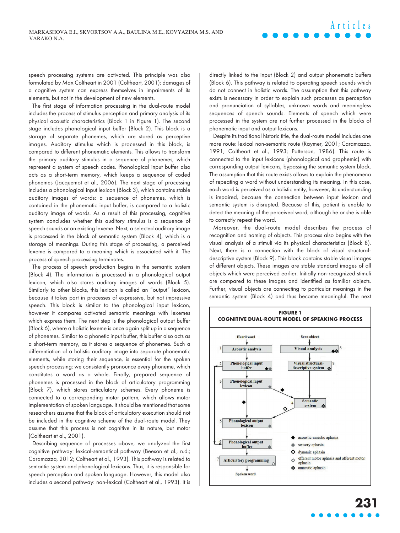speech processing systems are activated. This principle was also formulated by Max Coltheart in 2001 (Coltheart, 2001): damages of a cognitive system can express themselves in impairments of its elements, but not in the development of new elements.

The first stage of information processing in the dual-route model includes the process of stimulus perception and primary analysis of its physical acoustic characteristics (Block 1 in Figure 1). The second stage includes phonological input buffer (Block 2). This block is a storage of separate phonemes, which are stored as perceptive images. Auditory stimulus which is processed in this block, is compared to different phonematic elements. This allows to transform the primary auditory stimulus in a sequence of phonemes, which represent a system of speech codes. Phonological input buffer also acts as a short-term memory, which keeps a sequence of coded phonemes (Jacquemot et al., 2006). The next stage of processing includes a phonological input lexicon (Block 3), which contains stable auditory images of words: a sequence of phonemes, which is contained in the phonematic input buffer, is compared to a holistic auditory image of words. As a result of this processing, cognitive system concludes whether this auditory stimulus is a sequence of speech sounds or an existing lexeme. Next, a selected auditory image is processed in the block of semantic system (Block 4), which is a storage of meanings. During this stage of processing, a perceived lexeme is compared to a meaning which is associated with it. The process of speech processing terminates.

The process of speech production begins in the semantic system (Block 4). The information is processed in a phonological output lexicon, which also stores auditory images of words (Block 5). Similarly to other blocks, this lexicon is called an "output" lexicon, because it takes part in processes of expressive, but not impressive speech. This block is similar to the phonological input lexicon, however it compares activated semantic meanings with lexemes which express them. The next step is the phonological output buffer (Block 6), where a holistic lexeme is once again split up in a sequence of phonemes. Similar to a phonetic input buffer, this buffer also acts as a short-term memory, as it stores a sequence of phonemes. Such a differentiation of a holistic auditory image into separate phonematic elements, while storing their sequence, is essential for the spoken speech processing: we consistently pronounce every phoneme, which constitutes a word as a whole. Finally, prepared sequence of phonemes is processed in the block of articulatory programming (Block 7), which stores articulatory schemes. Every phoneme is connected to a corresponding motor pattern, which allows motor implementation of spoken language. It should be mentioned that some researchers assume that the block of articulatory execution should not be included in the cognitive scheme of the dual-route model. They assume that this process is not cognitive in its nature, but motor (Coltheart et al., 2001).

Describing sequence of processes above, we analyzed the first cognitive pathway: lexical-semantical pathway (Beeson et al., n.d.; Caramazza, 2012; Coltheart et al., 1993). This pathway is related to semantic system and phonological lexicons. Thus, it is responsible for speech perception and spoken language. However, this model also includes a second pathway: non-lexical (Coltheart et al., 1993). It is directly linked to the input (Block 2) and output phonematic buffers (Block 6). This pathway is related to operating speech sounds which do not connect in holistic words. The assumption that this pathway exists is necessary in order to explain such processes as perception and pronunciation of syllables, unknown words and meaningless sequences of speech sounds. Elements of speech which were processed in the system are not further processed in the blocks of phonematic input and output lexicons.

**Articles**

Despite its traditional historic title, the dual-route model includes one more route: lexical non-semantic route (Raymer, 2001; Caramazza, 1991; Coltheart et al., 1993; Patterson, 1986). This route is connected to the input lexicons (phonological and graphemic) with corresponding output lexicons, bypassing the semantic system block. The assumption that this route exists allows to explain the phenomena of repeating a word without understanding its meaning. In this case, each word is perceived as a holistic entity, however, its understanding is impaired, because the connection between input lexicon and semantic system is disrupted. Because of this, patient is unable to detect the meaning of the perceived word, although he or she is able to correctly repeat the word.

Moreover, the dual-route model describes the process of recognition and naming of objects. This process also begins with the visual analysis of a stimuli via its physical characteristics (Block 8). Next, there is a connection with the block of visual structuraldescriptive system (Block 9). This block contains stable visual images of different objects. These images are stable standard images of all objects which were perceived earlier. Initially non-recognized stimuli are compared to these images and identified as familiar objects. Further, visual objects are connecting to particular meanings in the semantic system (Block 4) and thus become meaningful. The next

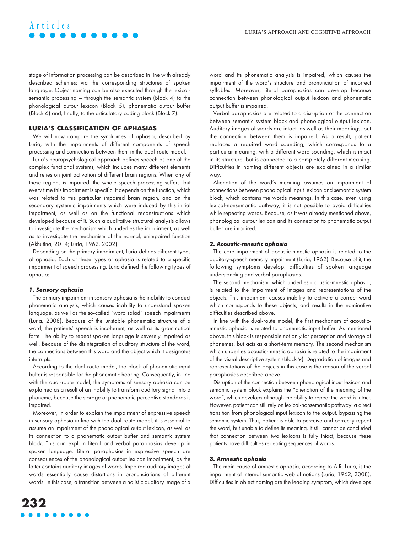# stage of information processing can be described in line with already described schemes: via the corresponding structures of spoken language. Object naming can be also executed through the lexicalsemantic processing – through the semantic system (Block 4) to the phonological output lexicon (Block 5), phonematic output buffer (Block 6) and, finally, to the articulatory coding block (Block 7).

### **LURIA'S CLASSIFICATION OF APHASIAS**

We will now compare the syndromes of aphasia, described by Luria, with the impairments of different components of speech processing and connections between them in the dual-route model.

Luria's neuropsychological approach defines speech as one of the complex functional systems, which includes many different elements and relies on joint activation of different brain regions. When any of these regions is impaired, the whole speech processing suffers, but every time this impairment is specific: it depends on the function, which was related to this particular impaired brain region, and on the secondary systemic impairments which were induced by this initial impairment, as well as on the functional reconstructions which developed because of it. Such a qualitative structural analysis allows to investigate the mechanism which underlies the impairment, as well as to investigate the mechanism of the normal, unimpaired function (Akhutina, 2014; Luria, 1962, 2002).

Depending on the primary impairment, Luria defines different types of aphasia. Each of these types of aphasia is related to a specific impairment of speech processing. Luria defined the following types of aphasia:

#### **1. Sensory aphasia**

**Articles**

The primary impairment in sensory aphasia is the inability to conduct phonematic analysis, which causes inability to understand spoken language, as well as the so-called "word salad" speech impairments (Luria, 2008). Because of the unstable phonematic structure of a word, the patients' speech is incoherent, as well as its grammatical form. The ability to repeat spoken language is severely impaired as well. Because of the disintegration of auditory structure of the word, the connections between this word and the object which it designates interrupts.

According to the dual-route model, the block of phonematic input buffer is responsible for the phonematic hearing. Consequently, in line with the dual-route model, the symptoms of sensory aphasia can be explained as a result of an inability to transform auditory signal into a phoneme, because the storage of phonematic perceptive standards is impaired.

Moreover, in order to explain the impairment of expressive speech in sensory aphasia in line with the dual-route model, it is essential to assume an impairment of the phonological output lexicon, as well as its connection to a phonematic output buffer and semantic system block. This can explain literal and verbal paraphasias develop in spoken language. Literal paraphasias in expressive speech are consequences of the phonological output lexicon impairment, as the latter contains auditory images of words. Impaired auditory images of words essentially cause distortions in pronunciations of different words. In this case, a transition between a holistic auditory image of a word and its phonematic analysis is impaired, which causes the impairment of the word's structure and pronunciation of incorrect syllables. Moreover, literal paraphasias can develop because connection between phonological output lexicon and phonematic output buffer is impaired.

Verbal paraphasias are related to a disruption of the connection between semantic system block and phonological output lexicon. Auditory images of words are intact, as well as their meanings, but the connection between them is impaired. As a result, patient replaces a required word sounding, which corresponds to a particular meaning, with a different word sounding, which is intact in its structure, but is connected to a completely different meaning. Difficulties in naming different objects are explained in a similar way.

Alienation of the word's meaning assumes an impairment of connections between phonological input lexicon and semantic system block, which contains the words meanings. In this case, even using lexical-nonsemantic pathway, it is not possible to avoid difficulties while repeating words. Because, as it was already mentioned above, phonological output lexicon and its connection to phonematic output buffer are impaired.

#### **2. Acoustic-mnestic aphasia**

The core impairment of acoustic-mnestic aphasia is related to the auditory-speech memory impairment (Luria, 1962). Because of it, the following symptoms develop: difficulties of spoken language understanding and verbal paraphasias.

The second mechanism, which underlies acoustic-mnestic aphasia, is related to the impairment of images and representations of the objects. This impairment causes inability to activate a correct word which corresponds to these objects, and results in the nominative difficulties described above.

In line with the dual-route model, the first mechanism of acousticmnestic aphasia is related to phonematic input buffer. As mentioned above, this block is responsible not only for perception and storage of phonemes, but acts as a short-term memory. The second mechanism which underlies acoustic-mnestic aphasia is related to the impairment of the visual descriptive system (Block 9). Degradation of images and representations of the objects in this case is the reason of the verbal paraphasias described above.

Disruption of the connection between phonological input lexicon and semantic system block explains the "alienation of the meaning of the word", which develops although the ability to repeat the word is intact. However, patient can still rely on lexical-nonsemantic pathway: a direct transition from phonological input lexicon to the output, bypassing the semantic system. Thus, patient is able to perceive and correctly repeat the word, but unable to define its meaning. It still cannot be concluded that connection between two lexicons is fully intact, because these patients have difficulties repeating sequences of words.

#### **3. Amnestic aphasia**

The main cause of amnestic aphasia, according to A.R. Luria, is the impairment of internal semantic web of notions (Luria, 1962, 2008). Difficulties in object naming are the leading symptom, which develops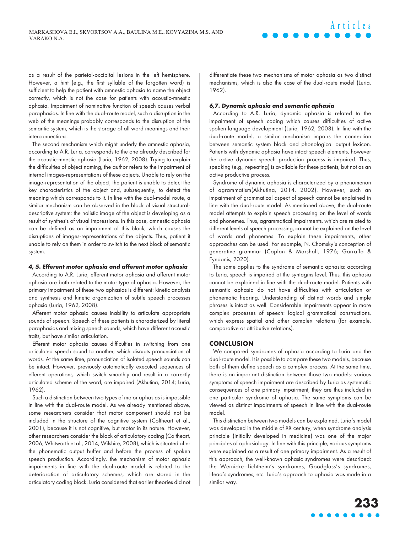as a result of the parietal-occipital lesions in the left hemisphere. However, a hint (e.g., the first syllable of the forgotten word) is sufficient to help the patient with amnestic aphasia to name the object correctly, which is not the case for patients with acoustic-mnestic aphasia. Impairment of nominative function of speech causes verbal paraphasias. In line with the dual-route model, such a disruption in the web of the meanings probably corresponds to the disruption of the semantic system, which is the storage of all word meanings and their interconnections.

The second mechanism which might underly the amnestic aphasia, according to A.R. Luria, corresponds to the one already described for the acoustic-mnestic aphasia (Luria, 1962, 2008). Trying to explain the difficulties of object naming, the author refers to the impairment of internal images-representations of these objects. Unable to rely on the image-representation of the object, the patient is unable to detect the key characteristics of the object and, subsequently, to detect the meaning which corresponds to it. In line with the dual-model route, a similar mechanism can be observed in the block of visual structuraldescriptive system: the holistic image of the object is developing as a result of synthesis of visual impressions. In this case, amnestic aphasia can be defined as an impairment of this block, which causes the disruptions of images-representations of the objects. Thus, patient it unable to rely on them in order to switch to the next block of semantic system.

#### **4, 5. Efferent motor aphasia and afferent motor aphasia**

According to A.R. Luria, efferent motor aphasia and afferent motor aphasia are both related to the motor type of aphasia. However, the primary impairment of these two aphasias is different: kinetic analysis and synthesis and kinetic organization of subtle speech processes aphasia (Luria, 1962, 2008).

Afferent motor aphasia causes inability to articulate appropriate sounds of speech. Speech of these patients is characterized by literal paraphasias and mixing speech sounds, which have different acoustic traits, but have similar articulation.

Efferent motor aphasia causes difficulties in switching from one articulated speech sound to another, which disrupts pronunciation of words. At the same time, pronunciation of isolated speech sounds can be intact. However, previously automatically executed sequences of efferent operations, which switch smoothly and result in a correctly articulated scheme of the word, are impaired (Akhutina, 2014; Luria, 1962).

Such a distinction between two types of motor aphasias is impossible in line with the dual-route model. As we already mentioned above, some researchers consider that motor component should not be included in the structure of the cognitive system (Coltheart et al., 2001), because it is not cognitive, but motor in its nature. However, other researchers consider the block of articulatory coding (Coltheart, 2006; Whitworth et al., 2014; Wilshire, 2008), which is situated after the phonematic output buffer and before the process of spoken speech production. Accordingly, the mechanism of motor aphasic impairments in line with the dual-route model is related to the deterioration of articulatory schemes, which are stored in the articulatory coding block. Luria considered that earlier theories did not differentiate these two mechanisms of motor aphasia as two distinct mechanisms, which is also the case of the dual-route model (Luria, 1962).

**Articles**

#### **6,7. Dynamic aphasia and semantic aphasia**

According to A.R. Luria, dynamic aphasia is related to the impairment of speech coding which causes difficulties of active spoken language development (Luria, 1962, 2008). In line with the dual-route model, a similar mechanism impairs the connection between semantic system block and phonological output lexicon. Patients with dynamic aphasia have intact speech elements, however the active dynamic speech production process is impaired. Thus, speaking (e.g., repeating) is available for these patients, but not as an active productive process.

Syndrome of dynamic aphasia is characterized by a phenomenon of agrammatism(Akhutina, 2014, 2002). However, such an impairment of grammatical aspect of speech cannot be explained in line with the dual-route model. As mentioned above, the dual-route model attempts to explain speech processing on the level of words and phonemes. Thus, agrammatical impairments, which are related to different levels of speech processing, cannot be explained on the level of words and phonemes. To explain these impairments, other approaches can be used. For example, N. Chomsky's conception of generative grammar (Caplan & Marshall, 1976; Garraffa & Fyndanis, 2020).

The same applies to the syndrome of semantic aphasia: according to Luria, speech is impaired at the syntagms level. Thus, this aphasia cannot be explained in line with the dual-route model. Patients with semantic aphasia do not have difficulties with articulation or phonematic hearing. Understanding of distinct words and simple phrases is intact as well. Considerable impairments appear in more complex processes of speech: logical grammatical constructions, which express spatial and other complex relations (for example, comparative or attributive relations).

#### **CONCLUSION**

We compared syndromes of aphasia according to Luria and the dual-route model. It is possible to compare these two models, because both of them define speech as a complex process. At the same time, there is an important distinction between those two models: various symptoms of speech impairment are described by Luria as systematic consequences of one primary impairment, they are thus included in one particular syndrome of aphasia. The same symptoms can be viewed as distinct impairments of speech in line with the dual-route model.

This distinction between two models can be explained. Luria's model was developed in the middle of XX century, when syndrome analysis principle (initially developed in medicine) was one of the major principles of aphasiology. In line with this principle, various symptoms were explained as a result of one primary impairment. As a result of this approach, the well-known aphasic syndromes were described: the Wernicke–Lichtheim's syndromes, Goodglass's syndromes, Head's syndromes, etc. Luria's approach to aphasia was made in a similar way.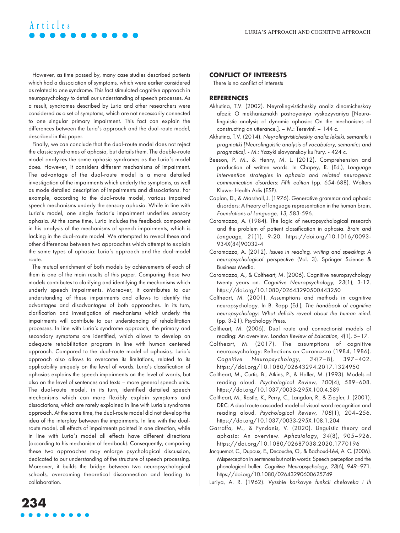However, as time passed by, many case studies described patients which had a dissociation of symptoms, which were earlier considered as related to one syndrome. This fact stimulated cognitive approach in neuropsychology to detail our understanding of speech processes. As a result, syndromes described by Luria and other researchers were considered as a set of symptoms, which are not necessarily connected to one singular primary impairment. This fact can explain the differences between the Luria's approach and the dual-route model, described in this paper.

**Articles**

Finally, we can conclude that the dual-route model does not reject the classic syndromes of aphasia, but details them. The double-route model analyzes the same aphasic syndromes as the Luria's model does. However, it considers different mechanisms of impairment. The advantage of the dual-route model is a more detailed investigation of the impairments which underly the symptoms, as well as mode detailed description of impairments and dissociations. For example, according to the dual-route model, various impaired speech mechanisms underly the sensory aphasia. While in line with Luria's model, one single factor's impairment underlies sensory aphasia. At the same time, Luria includes the feedback component in his analysis of the mechanisms of speech impairments, which is lacking in the dual-route model. We attempted to reveal these and other differences between two approaches which attempt to explain the same types of aphasia: Luria's approach and the dual-model route.

The mutual enrichment of both models by achievements of each of them is one of the main results of this paper. Comparing these two models contributes to clarifying and identifying the mechanisms which underly speech impairments. Moreover, it contributes to our understanding of these impairments and allows to identify the advantages and disadvantages of both approaches. In its turn, clarification and investigation of mechanisms which underly the impairments will contribute to our understanding of rehabilitation processes. In line with Luria's syndrome approach, the primary and secondary symptoms are identified, which allows to develop an adequate rehabilitation program in line with human centered approach. Compared to the dual-route model of aphasias, Luria's approach also allows to overcome its limitations, related to its applicability uniquely on the level of words. Luria's classification of aphasias explains the speech impairments on the level of words, but also on the level of sentences and texts – more general speech units. The dual-route model, in its turn, identified detailed speech mechanisms which can more flexibly explain symptoms and dissociations, which are rarely explained in line with Luria's syndrome approach. At the same time, the dual-route model did not develop the idea of the interplay between the impairments. In line with the dualroute model, all effects of impairments pointed in one direction, while in line with Luria's model all effects have different directions (according to his mechanism of feedback). Consequently, comparing these two approaches may enlarge psychological discussion, dedicated to our understanding of the structure of speech processing. Moreover, it builds the bridge between two neuropsychological schools, overcoming theoretical disconnection and leading to collaboration.

## **CONFLICT OF INTERESTS**

There is no conflict of interests

#### **REFERENCES**

- Akhutina, T.V. (2002). Neyrolingvisticheskiy analiz dinamicheskoy afazii: O mekhanizmakh postroyeniya vyskazyvaniya [Neurolinguistic analysis of dynamic aphasia: On the mechanisms of constructing an utterance.]. – М.: Terevinf. – 144 с.
- Akhutina, T.V. (2014). Neyrolingvisticheskiy analiz leksiki, semantiki i pragmatiki [Neurolinguistic analysis of vocabulary, semantics and pragmatics]. - М.: Yazyki slavyanskoy kul'tury. - 424 с.
- Beeson, P. M., & Henry, M. L. (2012). Comprehension and production of written words. In Chapey, R. (Ed.), Language intervention strategies in aphasia and related neurogenic communication disorders: Fifth edition (pp. 654-688). Wolters Kluwer Health Adis (ESP).
- Caplan, D., & Marshall, J. (1976). Generative grammar and aphasic disorders: A theory of language representation in the human brain. Foundations of Language, 13, 583-596.
- Caramazza, A. (1984). The logic of neuropsychological research and the problem of patient classification in aphasia. Brain and Language, 21(1), 9-20. [https://doi.org/10.1016/0093-](https://doi.org/10.1016/0093-934X(84)90032-4) [934X\(84\)90032-4](https://doi.org/10.1016/0093-934X(84)90032-4)
- Caramazza, A. (2012). Issues in reading, writing and speaking: A neuropsychological perspective (Vol. 3). Springer Science & Business Media.
- Caramazza, A., & Coltheart, M. (2006). Cognitive neuropsychology twenty years on. Cognitive Neuropsychology, 23(1), 3-12. <https://doi.org/10.1080/02643290500443250>
- Coltheart, M. (2001). Assumptions and methods in cognitive neuropsychology. In B. Rapp (Ed.), The handbook of cognitive neuropsychology: What deficits reveal about the human mind. (pp. 3-21). Psychology Press.
- Coltheart, M. (2006). Dual route and connectionist models of reading: An overview. London Review of Education, 4(1), 5–17.
- Coltheart, M. (2017). The assumptions of cognitive neuropsychology: Reflections on Caramazza (1984, 1986). Cognitive Neuropsychology, 34(7–8), 397–402. <https://doi.org/10.1080/02643294.2017.1324950>
- Coltheart, M., Curtis, B., Atkins, P., & Haller, M. (1993). Models of reading aloud. Psychological Review, 100(4), 589–608. <https://doi.org/10.1037/0033-295X.100.4.589>
- Coltheart, M., Rastle, K., Perry, C., Langdon, R., & Ziegler, J. (2001). DRC: A dual route cascaded model of visual word recognition and reading aloud. Psychological Review, 108(1), 204–256. <https://doi.org/10.1037/0033-295X.108.1.204>
- Garraffa, M., & Fyndanis, V. (2020). Linguistic theory and aphasia: An overview. Aphasiology, 34(8), 905–926. <https://doi.org/10.1080/02687038.2020.1770196>
- Jacquemot, C., Dupoux, E., Decouche, O., & Bachoud-Lévi, A. C. (2006). Misperception in sentences but not in words: Speech perception and the phonological buffer. Cognitive Neuropsychology, 23(6), 949–971. <https://doi.org/10.1080/02643290600625749>
- Luriya, A. R. (1962). Vysshie korkovye funkcii cheloveka i ih